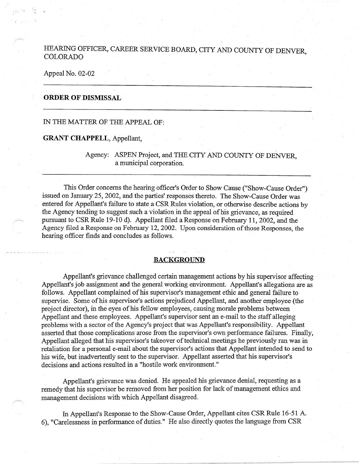HEARING OFFICER, CAREER SERVICE BOARD, CITY AND COUNTY OF DENVER **COLORADO** 

Appeal No. 02-02

## **ORDER OF DISMISSAL**

IN THE MATTER OF THE APPEAL OF:

#### **GRANT CHAPPELL,** Appellant,

Agency: ASPEN Project, and THE CITY AND COUNTY OF DENVER, a municipal corporation.

This Order concerns the hearing officer's Order to Show Cause ("Show-Cause Order") issued on January 25, 2002, and the parties' responses thereto. The Show-Cause Order was entered for Appellant's failure to state a CSR Rules violation, or otherwise describe actions by the Agency tending to suggest such a violation in the appeal of his grievance, as required pursuant to CSR Rule 19-10 d). Appellant filed a Response on February 11, 2002, and the Agency filed a Response on February 12, 2002. Upon consideration of those Responses, the hearing officer finds and concludes as follows.

### **BACKGROUND**

Appellant's grievance challenged certain management actions by his supervisor affecting Appellant's job assignment and the general working environment. Appellant's allegations are as follows. Appellant complained of his supervisor's management ethic and general failure to supervise. Some of his supervisor's actions prejudiced Appellant, and another employee (the project director), in the eyes of his fellow employees, causing morale problems between Appellant and these employees. Appellant's supervisor sent an e-mail to the staff alleging problems with a sector of the Agency's project that was Appellant's responsibility. Appellant asserted that those complications arose from the supervisor's own performance failures. Finally, Appellant alleged that his supervisor's takeover of technical meetings he previously ran was in retaliation for a personal e-mail about the supervisor's actions that Appellant intended to send to his wife, but inadvertently sent to the supervisor. Appellant asserted that his supervisor's decisions and actions resulted in a "hostile work environment."

Appellant's grievance was denied. He appealed his grievance denial, requesting as a remedy that his supervisor be removed from her position for lack of management ethics and management decisions with which Appellant disagreed.

In Appellant's Response to the Show-Cause Order, Appellant cites CSR Rule 16-51 A. 6), "Carelessness in performance of duties." He also directly quotes the language from CSR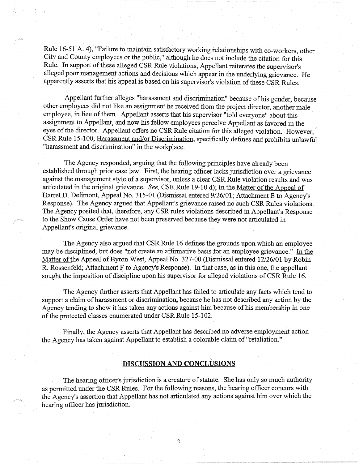Rule 16-51 A. 4), "Failure to maintain satisfactory working relationships with co-workers, other City and County employees or the public," although he does not include the citation for this Rule. In support of these alleged CSR Rule violations, Appellant reiterates the supervisor's alleged poor management actions and decisions which appear in the underlying grievance. He apparently asserts that his appeal is based on his supervisor's violation of these CSR Rules.

Appellant further alleges "harassment and discrimination" because of his gender, because other employees did not like an assignment he received from the project director, another male employee, in lieu of them. Appellant asserts that his supervisor "told everyone" about this assignment to Appellant, and now his fellow employees perceive Appellant as favored in the eyes of the director. Appellant offers no CSR Rule citation for this alleged violation. However, CSR Rule 15-100, Harassment and/or Discrimination, specifically defines and prohibits unlawful "harassment and discrimination" in the workplace.

The Agency responded, arguing that the following principles have already been established through prior case law. First, the hearing officer lacks jurisdiction over a grievance against the management style of a supervisor, unless a clear CSR Rule violation results and was articulated in the original grievance. *See,* CSR Rule 19-10 d); In the Matter of the Appeal of Darrel D. Delimont, Appeal No. 315-01 (Dismissal entered 9/26/01; Attachment E to Agency's Response). The Agency argued that Appellant's grievance raised no such CSR Rules violations. The Agency posited that, therefore, any CSR rules violations described in Appellant's Response to the Show Cause Order have not been preserved because they were not articulated in Appellant's original grievance.

The Agency also argued that CSR Rule 16 defines the grounds upon which an employee may be disciplined, but does "not create an affirmative basis for an employee grievance." In the Matter of the Appeal of Byron West, Appeal No. 327-00 (Dismissal entered 12/26/01 by Robin R. Rossenfeld; Attachment F to Agency's Response). In that case, as in this one, the appellant sought the imposition of discipline upon his supervisor for alleged violations of CSR Rule 16.

The Agency further asserts that Appellant has failed to articulate any facts which tend to support a claim of harassment or discrimination, because he has not described any action by the Agency tending to show it has taken any actions against him because of his membership in one of the protected classes enumerated under CSR Rule 15-102.

Finally, the Agency asserts that Appellant has described no adverse employment action the Agency has taken against Appellant to establish a colorable claim of "retaliation."

#### ' **DISCUSSION AND CONCLUSIONS**

The hearing officer's jurisdiction is a creature of statute. She has only so much authority as permitted under the CSR Rules. For the following reasons, the hearing officer concurs with the Agency's assertion that Appellant has not articulated any actions against him over which the hearing officer has jurisdiction.

2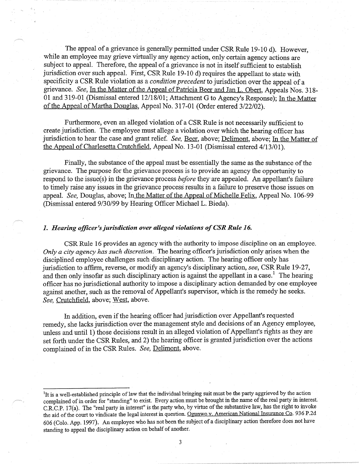The appeal of a grievance is generally permitted under CSR Rule 19-10 d). However, while an employee may grieve virtually any agency action, only certain agency actions are subject to appeal. Therefore, the appeal of a grievance is not in itself sufficient to establish jurisdiction over such appeal. First, CSR Rule 19-10 d) requires the appellant to state with specificity a CSR Rule violation as a *condition precedent* to jurisdiction over the appeal of a grievance. *See,* In the Matter of the Appeal of Patricia Beer and Jan L. Obert, Appeals Nos. 318- 01 and 319-01 (Dismissal entered 12/18/01; Attachment G to Agency's Response); In the Matter of the Appeal of Martha Douglas, Appeal No. 317-01 (Order entered 3/22/02).

Furthermore, even an alleged violation of a CSR Rule is not necessarily sufficient to create jurisdiction. The employee must allege a violation over which the hearing officer has jurisdiction to hear the case and grant relief. *See*, Beer, above; Delimont, above; In the Matter of the Appeal of Charlesetta Crutchfield, Appeal No. 13-01 (Dismissal entered 4/13/01).

Finally, the substance of the appeal must be essentially the same as the substance of the grievance. The purpose for the grievance process is to provide an agency the opportunity to respond to the issue(s) in the grievance process *before* they are appealed. An appellant's failure to timely raise any issues in the grievance process results in a failure to preserve those issues on appeal. *See,* Douglas, above; In the Matter of the Appeal of Michelle Felix, Appeal No. 106-99 (Dismissal entered 9/30/99 by Hearing Officer Michael L. Bieda).

## **1.** *Hearing officer's jurisdiction over alleged violations of CSR Rule 16.*

CSR Rule 16 provides an agency with the authority to impose discipline on an employee. *Only a city agency has such discretion.* The hearing officer's jurisdiction only arises when the disciplined employee challenges such disciplinary action. The hearing officer only has jurisdiction to affirm, reverse, or modify an agency's disciplinary action, *see,* CSR Rule 19-27, and then only insofar as such disciplinary action is against the appellant in a case.<sup>1</sup> The hearing officer has no jurisdictional authority to impose a disciplinary action demanded by one employee against another, such as the removal of Appellant's supervisor, which is the remedy he seeks. *See,* Crutchfield, above; West, above.

In addition, even if the hearing officer had jurisdiction over Appellant's requested remedy, she lacks jurisdiction over the management style and decisions of an Agency employee, unless and until 1) those decisions result in an alleged violation of Appellant's rights as they are set forth under the CSR Rules, and 2) the hearing officer is granted jurisdiction over the actions complained of in the CSR Rules. *See,* Delimont, above.

<sup>&</sup>lt;sup>1</sup>It is a well-established principle of law that the individual bringing suit must be the party aggrieved by the action complained of in order for "standing" to exist. Every action must be brought in the name of the real party in interest. C.R.C.P. 17(a). The "real party in interest" is the party who, by virtue of the substantive law, has the right to invoke the aid of the court to vindicate the legal interest in question. Ogunwo v. American National Insurance Co. 936 P.2d 606 (Colo. App. 1997). An employee who has not been the subject of a disciplinary action therefore does not have standing to appeal the disciplinary action on behalf of another.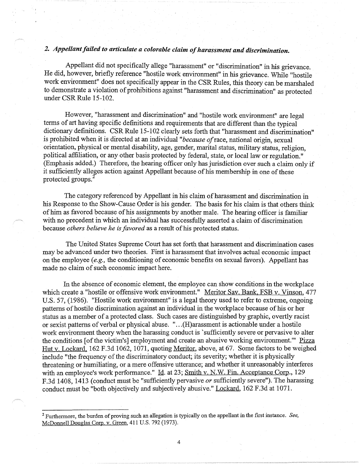# *2. Appellant failed to articulate a colorable claim of harassment and discrimination.*

Appellant did not specifically allege "harassment" or "discrimination" in his grievance. He did, however, briefly reference "hostile work environment" in his grievance. While "hostile work environment" does not specifically appear in the CSR Rules, this theory can be marshaled to demonstrate a violation of prohibitions against "harassment and discrimination" as protected under CSR Rule 15-102.

However, "harassment and discrimination" and "hostile work environment" are legal terms of art having specific definitions and requirements that are different than the typical dictionary definitions. CSR Rule 15-102 clearly sets forth that "harassment and discrimination" is prohibited when it is directed at an individual *"because of* race, national origin, sexual orientation, physical or mental disability, age, gender, marital status, military status, religion, political affiliation, or any other basis protected by federal, state, or local law or regulation." (Emphasis added.) Therefore, the hearing officer only has jurisdiction over such a claim only if it sufficiently alleges action against Appellant because of his membership in one of these protected groups.<sup>2</sup>

The category referenced by Appellant in his claim of harassment and discrimination in his Response to the Show-Cause Order is his gender. The basis for his claim is that others think of him as favored because of his assignments by another male. The hearing officer is familiar with no precedent in which an individual has successfully asserted a claim of discrimination because *others believe he is favored* as a result of his protected status.

The United States Supreme Court has set forth that harassment and discrimination cases may be advanced under two theories. First is harassment that involves actual economic impact on the employee *(e.g.,* the conditioning of economic benefits on sexual favors). Appellant has made no claim of such economic impact here.

In the absence of economic element, the employee can show conditions in the workplace which create a "hostile or offensive work environment." Meritor Sav. Bank, FSB v. Vinson, 477 U.S. 57, (1986). "Hostile work environment" is a legal theory used to refer to extreme, ongoing patterns of hostile discrimination against an individual in the workplace because of his or her status as a member of a protected class. Such cases are distinguished by graphic, overtly racist or sexist patterns of verbal or physical abuse. " ... (H)arassment is actionable under a hostile work environment theory when the harassing conduct is 'sufficiently severe or pervasive to alter the conditions [of the victim's] employment and create an abusive working environment." Pizza Hut v. Lockard, 162 F.3d 1062, 1071, quoting Meritor, above, at 67. Some factors to be weighed include "the frequency of the discriminatory conduct; its severity; whether it is physically threatening or humiliating, or a mere offensive utterance; and whether it unreasonably interferes with an employee's work performance." Id. at 23; Smith v. N.W. Fin. Acceptance Corp., 129 F.3d 1408, 1413 (conduct must be "sufficiently pervasive *or* sufficiently severe"). The harassing conduct must be "both objectively and subjectively abusive." Lockard, 162 F.3d at 1071.

4

<sup>2</sup>Furthermore, the burden of proving such an allegation is typically on the appellant in the first instance. *See,*  McDonnell Douglas Corp. v. Green, 411 U.S. 792 (1973).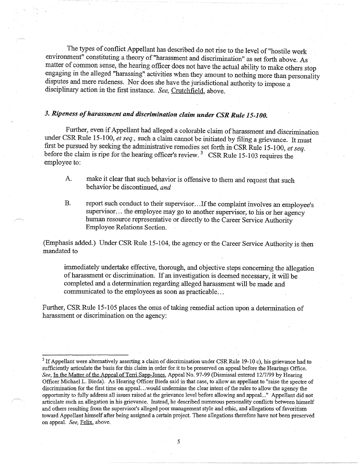The types of conflict Appellant has described do not rise to the level of "hostile work environment" constituting a theory of "harassment and discrimination" as set forth above. As matter of common sense, the hearing officer does not have the actual ability to make others stop engaging in the alleged "harassing" activities when they amount to nothing more than personality disputes and mere rudeness. Nor does she have the jurisdictional authority to impose a disciplinary action in the first instance. *See,* Crutchfield, above.

# *3. Ripeness of harassment and discrimination claim under CSR Rule 15-100.*

Further, even if Appellant had alleged a colorable claim of harassment and discrimination under CSR Rule 15-100, *et seq.,* such a claim cannot be initiated by filing a grievance. It must first be pursued by seeking the administrative remedies set forth in CSR Rule 15-100, *et seq.*  before the claim is ripe for the hearing officer's review.<sup>3</sup> CSR Rule 15-103 requires the employee to:

- A. make it clear that such behavior is offensive to them and request that such behavior be discontinued, *and*
- B. report such conduct to their supervisor... If the complaint involves an employee's supervisor... the employee may go to another supervisor, to his or her agency human resource representative or directly to the Career Service Authority Employee Relations Section.

(Emphasis added.) Under CSR Rule 15-104, the agency or the Career Service Authority is then mandated to

immediately undertake effective, thorough, and objective steps concerning the allegation of harassment or discrimination. If an investigation is deemed necessary, it will be completed and a determination regarding alleged harassment will be made and communicated to the employees as soon as practicable...

Further, CSR Rule 15-105 places the onus of taking remedial action upon a determination of harassment or discrimination on the agency:

 $3$  If Appellant were alternatively asserting a claim of discrimination under CSR Rule 19-10 c), his grievance had to sufficiently articulate the basis for this claim in order for it to be preserved on appeal before the Hearings Office. *See,* In the Matter of the Appeal of Terri Sapp-Jones, Appeal No. 97-99 (Dismissal entered 12/7/99 by Hearing Officer Michael L. Bieda). As Hearing Officer Bieda said in that case, to allow an appellant to "raise the spectre of discrimination for the first time on appeal. .. would undermine the clear intent of the rules to allow the agency the opportunity to fully address all issues raised at the grievance level before allowing and appeal:.." Appellant did not articulate such an allegation in his grievance. Instead, he described numerous personality conflicts between himself and others resulting from the supervisor's alleged poor management style and ethic, and allegations of favoritism toward Appellant himself after being assigned a certain project. These allegations therefore have not been preserved on appeal. *See,* Felix, above.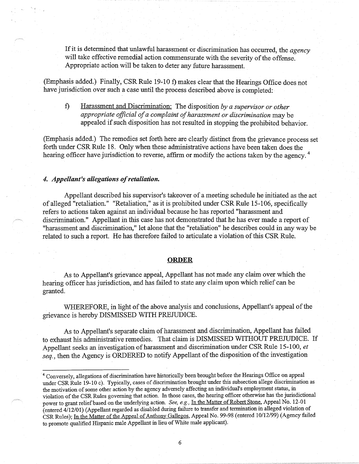If it is determined that unlawful harassment or discrimination has occurred, the *agency*  will take effective remedial action commensurate with the severity of the offense. Appropriate action will be taken to deter any future harassment.

(Emphasis added.) Finally, CSR Rule 19-10 f) makes clear that the Hearings Office does not have jurisdiction over such a case until the process described above is completed:

f) Harassment and Discrimination: The disposition *by a supervisor or other appropriate official of a complaint of harassment or discrimination* may be appealed if such disposition has not resulted in stopping the prohibited behavior.

(Emphasis added.) The remedies set forth here are clearly distinct from the grievance process set forth under CSR Rule 18. Only when these administrative actions have been taken does the hearing officer have jurisdiction to reverse, affirm or modify the actions taken by the agency.<sup>4</sup>

#### *4. Appeliant's allegations of retaliation.*

Appellant described his supervisor's takeover of a meeting schedule he initiated as the act of alleged "retaliation." "Retaliation," as it is prohibited under CSR Rule 15-106, specifically refers to actions taken against an individual because he has reported "harassment and discrimination." Appellant in this case has not demonstrated that he has ever made a report of "harassment and discrimination," let alone that the "retaliation" he describes could in any way be related to such a report. He has therefore failed to articulate a violation of this CSR Rule.

#### **ORDER**

As to Appellant's grievance appeal, Appellant has not made any claim over which the hearing officer has jurisdiction, and has failed to state any claim upon which relief can be granted.

WHEREFORE, in light of the above analysis and conclusions, Appellant's appeal of the grievance is hereby DISMISSED WITH PREITJDICE.

As to Appellant's separate claim of harassment and discrimination, Appellant has failed to exhaust his administrative remedies. That claim is DISMISSED WITHOUT PREJUDICE. If Appellant seeks an investigation of harassment and discrimination under CSR Rule 15-100, *et seq.,* then the Agency is ORDERED to notify Appellant of the disposition of the investigation

<sup>&</sup>lt;sup>4</sup> Conversely, allegations of discrimination have historically been brought before the Hearings Office on appeal under CSR Rule 19-10 c). Typically, cases of discrimination brought under this subsection allege discrimination as the motivation of some other action by the agency adversely affecting an individual's employment status, in violation of the CSR Rules governing that action. In those cases, the hearing officer otherwise has the jurisdictional power to grant reliefbased on the underlying action. *See, e.g.,* In the Matter of Robert Stone, Appeal No. 12-01  $\epsilon$  (entered  $4/12/01$ ) (Appellant regarded as disabled during failure to transfer and termination in alleged violation of CSR Rules); In the Matter of the Appeal of Anthony Gallegos, Appeal No. 99-98 (entered 10/12/99) (Agency failed to promote qualified Hispanic male Appellant in lieu of White male applicant).